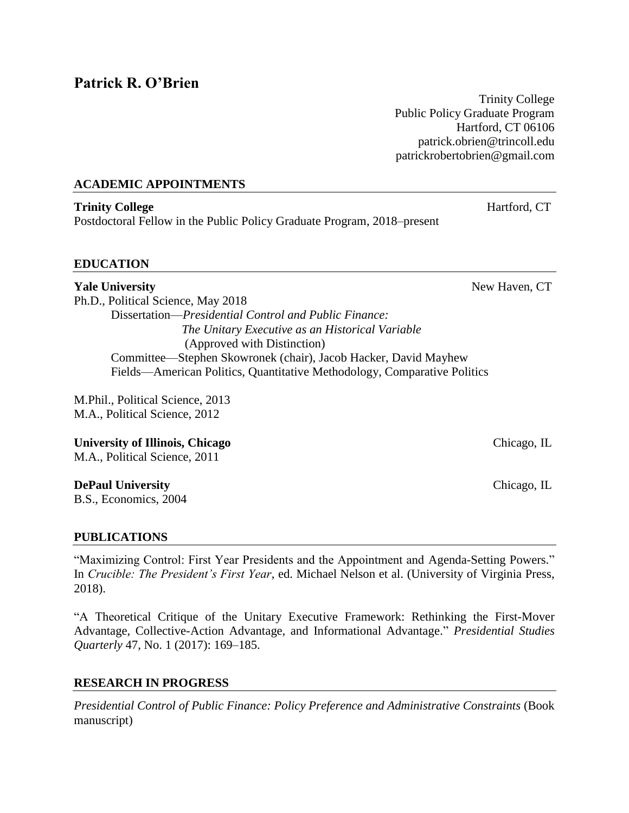# **Patrick R. O'Brien**

Trinity College Public Policy Graduate Program Hartford, CT 06106 patrick.obrien@trincoll.edu patrickrobertobrien@gmail.com

## **ACADEMIC APPOINTMENTS**

**Trinity College** Hartford, CT Postdoctoral Fellow in the Public Policy Graduate Program, 2018–present

## **EDUCATION**

**Yale University** New Haven, CT Ph.D., Political Science, May 2018 Dissertation—*Presidential Control and Public Finance: The Unitary Executive as an Historical Variable*  (Approved with Distinction) Committee—Stephen Skowronek (chair), Jacob Hacker, David Mayhew Fields—American Politics, Quantitative Methodology, Comparative Politics

M.Phil., Political Science, 2013 M.A., Political Science, 2012

**University of Illinois, Chicago** Chicago, IL

M.A., Political Science, 2011

## **DePaul University** Chicago, IL

B.S., Economics, 2004

## **PUBLICATIONS**

"Maximizing Control: First Year Presidents and the Appointment and Agenda-Setting Powers." In *Crucible: The President's First Year*, ed. Michael Nelson et al. (University of Virginia Press, 2018).

"A Theoretical Critique of the Unitary Executive Framework: Rethinking the First-Mover Advantage, Collective-Action Advantage, and Informational Advantage." *Presidential Studies Quarterly* 47, No. 1 (2017): 169–185.

# **RESEARCH IN PROGRESS**

*Presidential Control of Public Finance: Policy Preference and Administrative Constraints* (Book manuscript)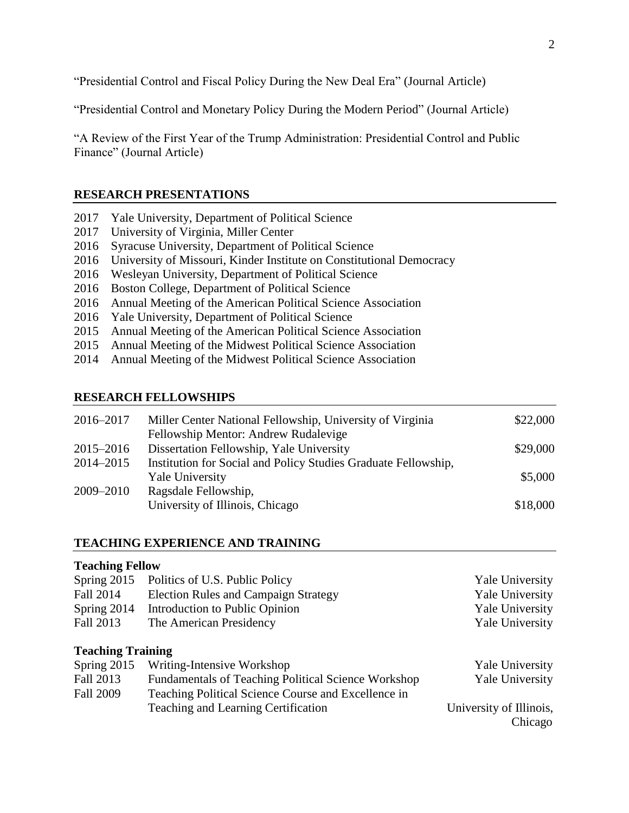"Presidential Control and Fiscal Policy During the New Deal Era" (Journal Article)

"Presidential Control and Monetary Policy During the Modern Period" (Journal Article)

"A Review of the First Year of the Trump Administration: Presidential Control and Public Finance" (Journal Article)

## **RESEARCH PRESENTATIONS**

- 2017 Yale University, Department of Political Science
- 2017 University of Virginia, Miller Center
- 2016 Syracuse University, Department of Political Science
- 2016 University of Missouri, Kinder Institute on Constitutional Democracy
- 2016 Wesleyan University, Department of Political Science
- 2016 Boston College, Department of Political Science
- 2016 Annual Meeting of the American Political Science Association
- 2016 Yale University, Department of Political Science
- 2015 Annual Meeting of the American Political Science Association
- 2015 Annual Meeting of the Midwest Political Science Association
- 2014 Annual Meeting of the Midwest Political Science Association

## **RESEARCH FELLOWSHIPS**

| 2016–2017 | Miller Center National Fellowship, University of Virginia      | \$22,000 |
|-----------|----------------------------------------------------------------|----------|
|           | Fellowship Mentor: Andrew Rudalevige                           |          |
| 2015–2016 | Dissertation Fellowship, Yale University                       | \$29,000 |
| 2014–2015 | Institution for Social and Policy Studies Graduate Fellowship, |          |
|           | <b>Yale University</b>                                         | \$5,000  |
| 2009-2010 | Ragsdale Fellowship,                                           |          |
|           | University of Illinois, Chicago                                | \$18,000 |
|           |                                                                |          |

## **TEACHING EXPERIENCE AND TRAINING**

| <b>Teaching Fellow</b>   |                                                     |                         |
|--------------------------|-----------------------------------------------------|-------------------------|
| Spring 2015              | Politics of U.S. Public Policy                      | <b>Yale University</b>  |
| Fall 2014                | <b>Election Rules and Campaign Strategy</b>         | <b>Yale University</b>  |
| Spring 2014              | Introduction to Public Opinion                      | <b>Yale University</b>  |
| Fall 2013                | The American Presidency                             | <b>Yale University</b>  |
|                          |                                                     |                         |
| <b>Teaching Training</b> |                                                     |                         |
| Spring 2015              | Writing-Intensive Workshop                          | <b>Yale University</b>  |
| Fall 2013                | Fundamentals of Teaching Political Science Workshop | <b>Yale University</b>  |
| <b>Fall 2009</b>         | Teaching Political Science Course and Excellence in |                         |
|                          | Teaching and Learning Certification                 | University of Illinois, |
|                          |                                                     | Chicago                 |
|                          |                                                     |                         |